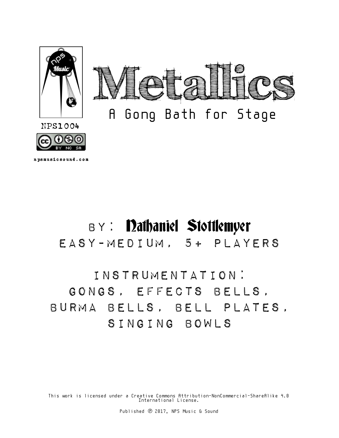

npsmusicsound.com

# BY: Dathaniel Stottlemyer

Easy-Medium, 5+ Players

## Instrumentation: Gongs, Effects Bells, Burma Bells, Bell Plates, Singing Bowls

This work is licensed under a Creative Commons Attribution-NonCommercial-ShareAlike 4.0 International License.

Published ℗ 2017, NPS Music & Sound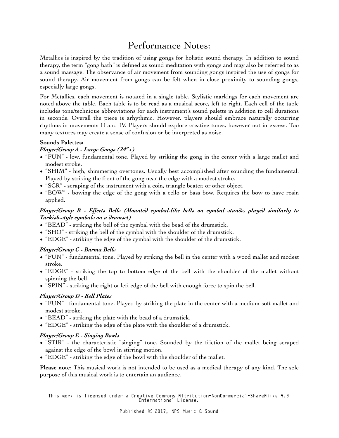### Performance Notes:

Metallics is inspired by the tradition of using gongs for holistic sound therapy. In addition to sound therapy, the term "gong bath" is defined as sound meditation with gongs and may also be referred to as a sound massage. The observance of air movement from sounding gongs inspired the use of gongs for sound therapy. Air movement from gongs can be felt when in close proximity to sounding gongs, especially large gongs.

For Metallics, each movement is notated in a single table. Stylistic markings for each movement are noted above the table. Each table is to be read as a musical score, left to right. Each cell of the table includes tone/technique abbreviations for each instrument's sound palette in addition to cell durations in seconds. Overall the piece is arhythmic. However, players should embrace naturally occurring rhythms in movements II and IV. Players should explore creative tones, however not in excess. Too many textures may create a sense of confusion or be interpreted as noise.

#### **Sounds Palettes:**

#### *Player/Group A - Large Gongs (24"+)*

- "FUN" low, fundamental tone. Played by striking the gong in the center with a large mallet and modest stroke.
- "SHIM" high, shimmering overtones. Usually best accomplished after sounding the fundamental. Played by striking the front of the gong near the edge with a modest stroke.
- "SCR" scraping of the instrument with a coin, triangle beater, or other object.
- "BOW" bowing the edge of the gong with a cello or bass bow. Requires the bow to have rosin applied.

#### *Player/Group B - Effects Bells (Mounted cymbal-like bells on cymbal stands, played similarly to Turkish-style cymbals on a drumset)*

- "BEAD" striking the bell of the cymbal with the bead of the drumstick.
- "SHO" striking the bell of the cymbal with the shoulder of the drumstick.
- "EDGE" striking the edge of the cymbal with the shoulder of the drumstick.

#### *Player/Group C - Burma Bells*

- "FUN" fundamental tone. Played by striking the bell in the center with a wood mallet and modest stroke.
- "EDGE" striking the top to bottom edge of the bell with the shoulder of the mallet without spinning the bell.
- "SPIN" striking the right or left edge of the bell with enough force to spin the bell.

#### *Player/Group D - Bell Plates*

- "FUN" fundamental tone. Played by striking the plate in the center with a medium-soft mallet and modest stroke.
- "BEAD" striking the plate with the bead of a drumstick.
- "EDGE" striking the edge of the plate with the shoulder of a drumstick.

#### *Player/Group E - Singing Bowls*

- "STIR" the characteristic "singing" tone. Sounded by the friction of the mallet being scraped against the edge of the bowl in stirring motion.
- "EDGE" striking the edge of the bowl with the shoulder of the mallet.

**Please note**: This musical work is not intended to be used as a medical therapy of any kind. The sole purpose of this musical work is to entertain an audience.

This work is licensed under a Creative Commons Attribution-NonCommercial-ShareAlike 4.0 International License.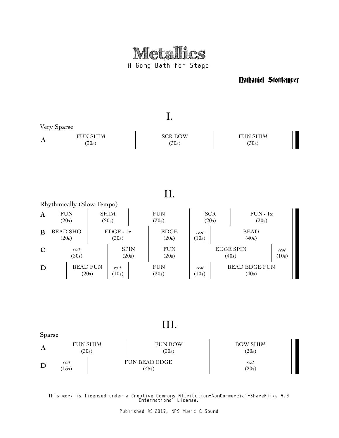

Nathaniel Stottlemyer



III.

| Sparse |              |                          |                               |                          |
|--------|--------------|--------------------------|-------------------------------|--------------------------|
| A      |              | <b>FUN SHIM</b><br>(30s) | <b>FUN BOW</b><br>(30s)       | <b>BOW SHIM</b><br>(20s) |
| D      | rest<br>15s) |                          | <b>FUN BEAD EDGE</b><br>(45s) | rest<br>(20s)            |

This work is licensed under a Creative Commons Attribution-NonCommercial-ShareAlike 4.0 International License.

Published ℗ 2017, NPS Music & Sound